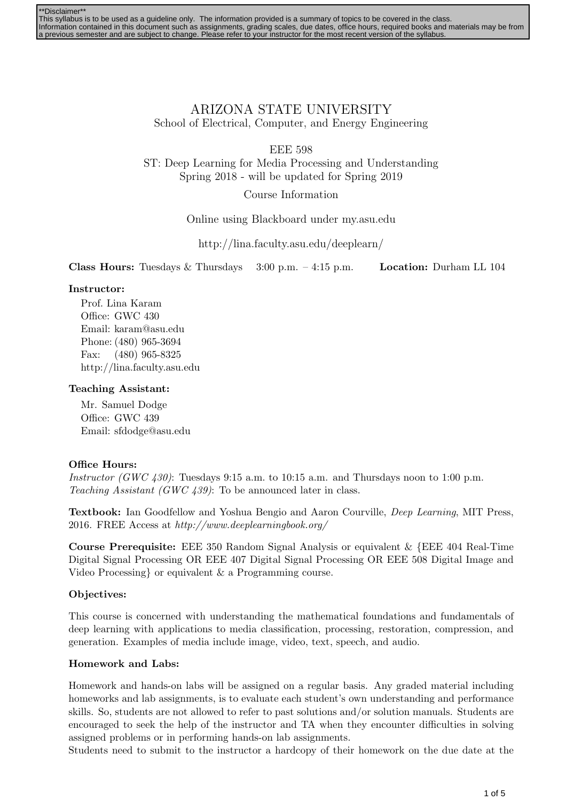| **Disclaimer** |                                                                                                                                               |
|----------------|-----------------------------------------------------------------------------------------------------------------------------------------------|
|                | This syllabus is to be used as a quideline only. The information provided is a summary of topics to be covered in the class.                  |
|                | Information contained in this document such as assignments, grading scales, due dates, office hours, required books and materials may be from |
|                | a previous semester and are subject to change. Please refer to your instructor for the most recent version of the syllabus.                   |

ARIZONA STATE UNIVERSITY School of Electrical, Computer, and Energy Engineering

EEE 598

ST: Deep Learning for Media Processing and Understanding Spring 2018 - will be updated for Spring 2019

Course Information

Online using Blackboard under my.asu.edu

http://lina.faculty.asu.edu/deeplearn/

**Class Hours:** Tuesdays & Thursdays  $3:00 \text{ p.m.} - 4:15 \text{ p.m.}$  Location: Durham LL 104

## Instructor:

Prof. Lina Karam Office: GWC 430 Email: karam@asu.edu Phone: (480) 965-3694 Fax: (480) 965-8325 http://lina.faculty.asu.edu

## Teaching Assistant:

Mr. Samuel Dodge Office: GWC 439 Email: sfdodge@asu.edu

## Office Hours:

Instructor (GWC 430): Tuesdays 9:15 a.m. to 10:15 a.m. and Thursdays noon to 1:00 p.m. Teaching Assistant (GWC 439): To be announced later in class.

Textbook: Ian Goodfellow and Yoshua Bengio and Aaron Courville, Deep Learning, MIT Press, 2016. FREE Access at http://www.deeplearningbook.org/

Course Prerequisite: EEE 350 Random Signal Analysis or equivalent & {EEE 404 Real-Time Digital Signal Processing OR EEE 407 Digital Signal Processing OR EEE 508 Digital Image and Video Processing} or equivalent & a Programming course.

## Objectives:

This course is concerned with understanding the mathematical foundations and fundamentals of deep learning with applications to media classification, processing, restoration, compression, and generation. Examples of media include image, video, text, speech, and audio.

## Homework and Labs:

Homework and hands-on labs will be assigned on a regular basis. Any graded material including homeworks and lab assignments, is to evaluate each student's own understanding and performance skills. So, students are not allowed to refer to past solutions and/or solution manuals. Students are encouraged to seek the help of the instructor and TA when they encounter difficulties in solving assigned problems or in performing hands-on lab assignments.

Students need to submit to the instructor a hardcopy of their homework on the due date at the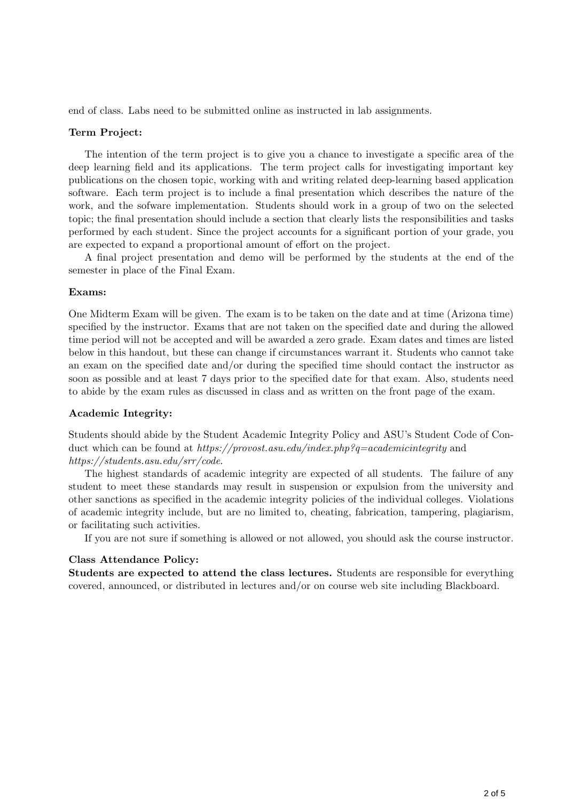end of class. Labs need to be submitted online as instructed in lab assignments.

#### Term Project:

The intention of the term project is to give you a chance to investigate a specific area of the deep learning field and its applications. The term project calls for investigating important key publications on the chosen topic, working with and writing related deep-learning based application software. Each term project is to include a final presentation which describes the nature of the work, and the sofware implementation. Students should work in a group of two on the selected topic; the final presentation should include a section that clearly lists the responsibilities and tasks performed by each student. Since the project accounts for a significant portion of your grade, you are expected to expand a proportional amount of effort on the project.

A final project presentation and demo will be performed by the students at the end of the semester in place of the Final Exam.

#### Exams:

One Midterm Exam will be given. The exam is to be taken on the date and at time (Arizona time) specified by the instructor. Exams that are not taken on the specified date and during the allowed time period will not be accepted and will be awarded a zero grade. Exam dates and times are listed below in this handout, but these can change if circumstances warrant it. Students who cannot take an exam on the specified date and/or during the specified time should contact the instructor as soon as possible and at least 7 days prior to the specified date for that exam. Also, students need to abide by the exam rules as discussed in class and as written on the front page of the exam.

#### Academic Integrity:

Students should abide by the Student Academic Integrity Policy and ASU's Student Code of Conduct which can be found at https://provost.asu.edu/index.php?q=academicintegrity and https://students.asu.edu/srr/code.

The highest standards of academic integrity are expected of all students. The failure of any student to meet these standards may result in suspension or expulsion from the university and other sanctions as specified in the academic integrity policies of the individual colleges. Violations of academic integrity include, but are no limited to, cheating, fabrication, tampering, plagiarism, or facilitating such activities.

If you are not sure if something is allowed or not allowed, you should ask the course instructor.

#### Class Attendance Policy:

Students are expected to attend the class lectures. Students are responsible for everything covered, announced, or distributed in lectures and/or on course web site including Blackboard.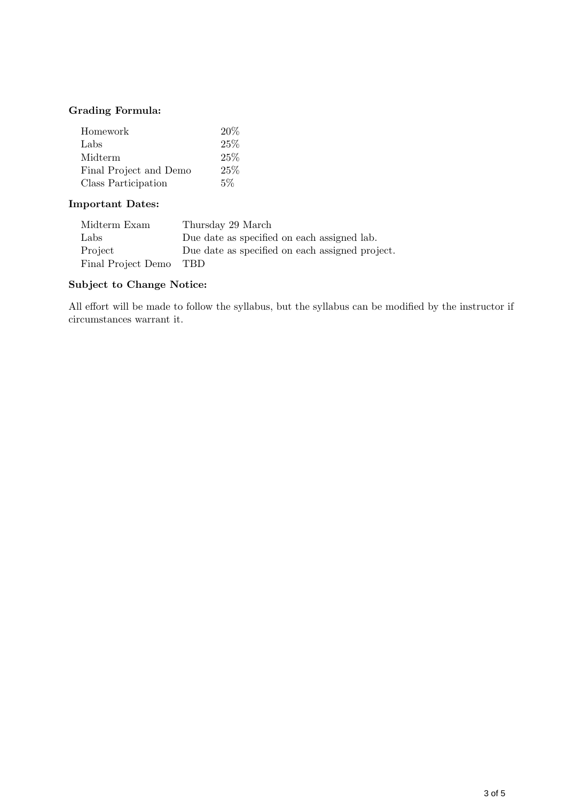## Grading Formula:

| Homework               | 20%   |
|------------------------|-------|
| Labs                   | 25%   |
| Midterm                | 25%   |
| Final Project and Demo | 25%   |
| Class Participation    | $5\%$ |

## Important Dates:

| Midterm Exam       | Thursday 29 March                               |
|--------------------|-------------------------------------------------|
| Labs               | Due date as specified on each assigned lab.     |
| Project            | Due date as specified on each assigned project. |
| Final Project Demo | TBD.                                            |

## Subject to Change Notice:

All effort will be made to follow the syllabus, but the syllabus can be modified by the instructor if circumstances warrant it.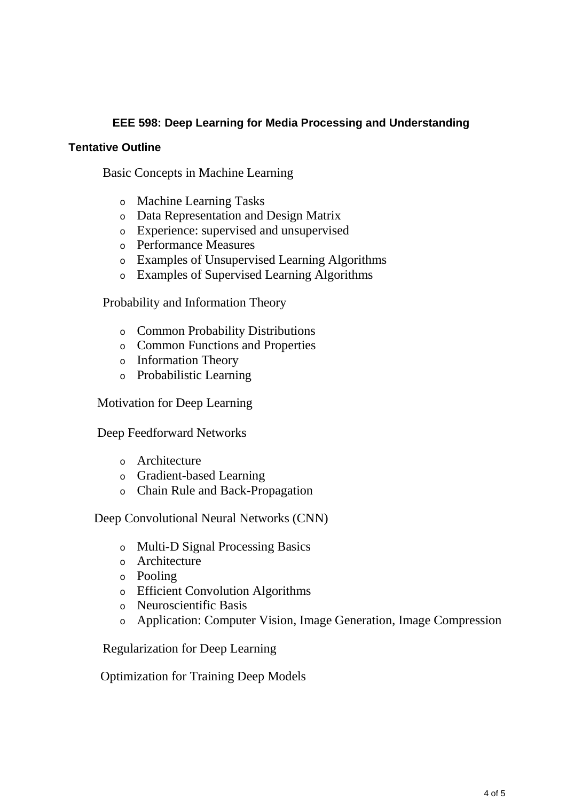# **EEE 598: Deep Learning for Media Processing and Understanding**

# **Tentative Outline**

Basic Concepts in Machine Learning

- <sup>o</sup> Machine Learning Tasks
- <sup>o</sup> Data Representation and Design Matrix
- <sup>o</sup> Experience: supervised and unsupervised
- <sup>o</sup> Performance Measures
- <sup>o</sup> Examples of Unsupervised Learning Algorithms
- <sup>o</sup> Examples of Supervised Learning Algorithms

Probability and Information Theory

- <sup>o</sup> Common Probability Distributions
- <sup>o</sup> Common Functions and Properties
- <sup>o</sup> Information Theory
- <sup>o</sup> Probabilistic Learning

Motivation for Deep Learning

Deep Feedforward Networks

- <sup>o</sup> Architecture
- <sup>o</sup> Gradient-based Learning
- <sup>o</sup> Chain Rule and Back-Propagation

Deep Convolutional Neural Networks (CNN)

- <sup>o</sup> Multi-D Signal Processing Basics
- <sup>o</sup> Architecture
- <sup>o</sup> Pooling
- <sup>o</sup> Efficient Convolution Algorithms
- <sup>o</sup> Neuroscientific Basis
- <sup>o</sup> Application: Computer Vision, Image Generation, Image Compression

Regularization for Deep Learning

Optimization for Training Deep Models